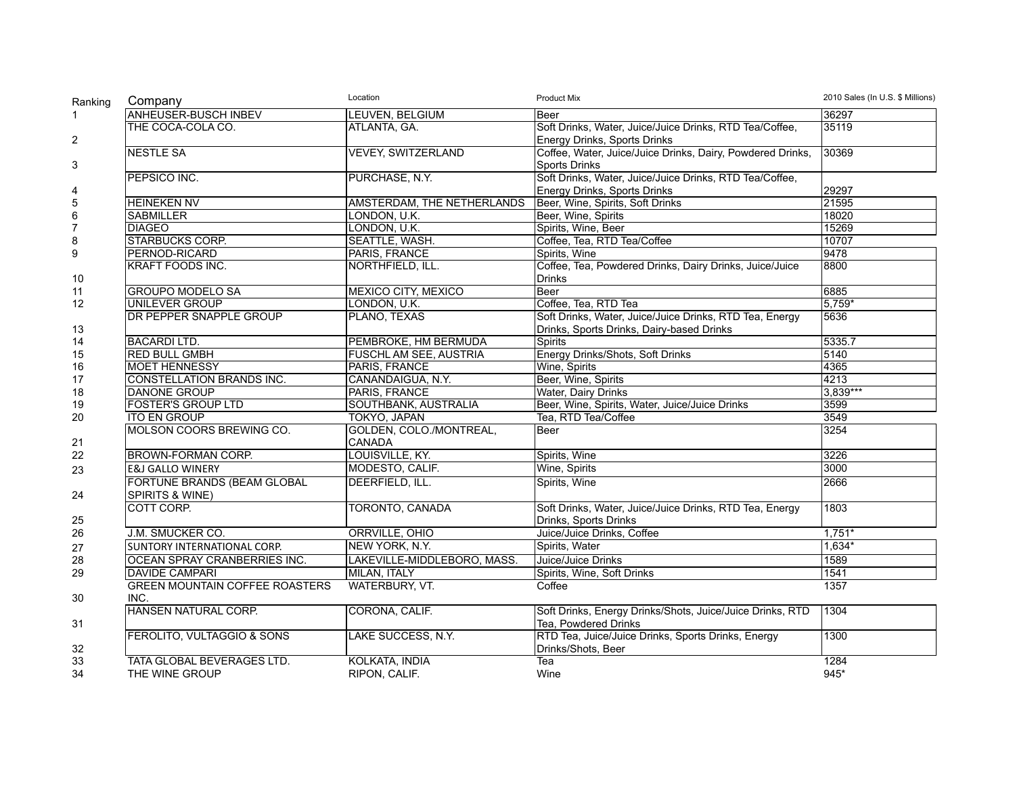| Ranking        | Company                               | Location                      | <b>Product Mix</b>                                         | 2010 Sales (In U.S. \$ Millions) |
|----------------|---------------------------------------|-------------------------------|------------------------------------------------------------|----------------------------------|
| $\mathbf{1}$   | <b>ANHEUSER-BUSCH INBEV</b>           | LEUVEN, BELGIUM               | <b>Beer</b>                                                | 36297                            |
|                | THE COCA-COLA CO.                     | ATLANTA, GA.                  | Soft Drinks, Water, Juice/Juice Drinks, RTD Tea/Coffee,    | 35119                            |
| $\overline{2}$ |                                       |                               | Energy Drinks, Sports Drinks                               |                                  |
|                | <b>NESTLE SA</b>                      | <b>VEVEY, SWITZERLAND</b>     | Coffee, Water, Juice/Juice Drinks, Dairy, Powdered Drinks, | 30369                            |
| 3              |                                       |                               | <b>Sports Drinks</b>                                       |                                  |
|                | PEPSICO INC.                          | PURCHASE, N.Y.                | Soft Drinks, Water, Juice/Juice Drinks, RTD Tea/Coffee,    |                                  |
| 4              |                                       |                               | Energy Drinks, Sports Drinks                               | 29297                            |
| $\sqrt{5}$     | <b>HEINEKEN NV</b>                    | AMSTERDAM, THE NETHERLANDS    | Beer, Wine, Spirits, Soft Drinks                           | 21595                            |
| 6              | <b>SABMILLER</b>                      | LONDON, U.K.                  | Beer, Wine, Spirits                                        | 18020                            |
| $\overline{7}$ | <b>DIAGEO</b>                         | LONDON, U.K.                  | Spirits, Wine, Beer                                        | 15269                            |
| 8              | STARBUCKS CORP.                       | SEATTLE, WASH.                | Coffee, Tea, RTD Tea/Coffee                                | 10707                            |
| 9              | PERNOD-RICARD                         | PARIS, FRANCE                 | Spirits, Wine                                              | 9478                             |
|                | <b>KRAFT FOODS INC.</b>               | NORTHFIELD, ILL.              | Coffee, Tea, Powdered Drinks, Dairy Drinks, Juice/Juice    | 8800                             |
| 10             |                                       |                               | <b>Drinks</b>                                              |                                  |
| 11             | <b>GROUPO MODELO SA</b>               | <b>MEXICO CITY, MEXICO</b>    | Beer                                                       | 6885                             |
| 12             | <b>UNILEVER GROUP</b>                 | LONDON, U.K.                  | Coffee, Tea, RTD Tea                                       | $5,759*$                         |
|                | DR PEPPER SNAPPLE GROUP               | PLANO, TEXAS                  | Soft Drinks, Water, Juice/Juice Drinks, RTD Tea, Energy    | 5636                             |
| 13             |                                       |                               | Drinks, Sports Drinks, Dairy-based Drinks                  |                                  |
| 14             | <b>BACARDILTD.</b>                    | PEMBROKE, HM BERMUDA          | <b>Spirits</b>                                             | 5335.7                           |
| 15             | <b>RED BULL GMBH</b>                  | <b>FUSCHL AM SEE, AUSTRIA</b> | Energy Drinks/Shots, Soft Drinks                           | 5140                             |
| 16             | <b>MOET HENNESSY</b>                  | PARIS, FRANCE                 | Wine, Spirits                                              | 4365                             |
| 17             | CONSTELLATION BRANDS INC.             | CANANDAIGUA, N.Y.             | Beer, Wine, Spirits                                        | 4213                             |
| 18             | <b>DANONE GROUP</b>                   | <b>PARIS, FRANCE</b>          | Water, Dairy Drinks                                        | 3,839***                         |
| 19             | <b>FOSTER'S GROUP LTD</b>             | SOUTHBANK, AUSTRALIA          | Beer, Wine, Spirits, Water, Juice/Juice Drinks             | 3599                             |
| 20             | <b>ITO EN GROUP</b>                   | TOKYO, JAPAN                  | Tea, RTD Tea/Coffee                                        | 3549                             |
|                | MOLSON COORS BREWING CO.              | GOLDEN, COLO./MONTREAL,       | Beer                                                       | 3254                             |
| 21             |                                       | <b>CANADA</b>                 |                                                            |                                  |
| 22             | <b>BROWN-FORMAN CORP.</b>             | LOUISVILLE, KY.               | Spirits, Wine                                              | 3226                             |
| 23             | <b>E&amp;J GALLO WINERY</b>           | MODESTO, CALIF.               | Wine, Spirits                                              | 3000                             |
|                | FORTUNE BRANDS (BEAM GLOBAL           | DEERFIELD, ILL.               | Spirits, Wine                                              | 2666                             |
| 24             | <b>SPIRITS &amp; WINE)</b>            |                               |                                                            |                                  |
|                | COTT CORP.                            | TORONTO, CANADA               | Soft Drinks, Water, Juice/Juice Drinks, RTD Tea, Energy    | 1803                             |
| 25             |                                       |                               | Drinks, Sports Drinks                                      |                                  |
| 26             | J.M. SMUCKER CO.                      | ORRVILLE, OHIO                | Juice/Juice Drinks, Coffee                                 | $1,751*$                         |
| 27             | <b>SUNTORY INTERNATIONAL CORP.</b>    | NEW YORK, N.Y.                | Spirits, Water                                             | $1,634*$                         |
| 28             | <b>OCEAN SPRAY CRANBERRIES INC.</b>   | LAKEVILLE-MIDDLEBORO, MASS.   | Juice/Juice Drinks                                         | 1589                             |
| 29             | <b>DAVIDE CAMPARI</b>                 | MILAN. ITALY                  | Spirits, Wine, Soft Drinks                                 | 1541                             |
|                | <b>GREEN MOUNTAIN COFFEE ROASTERS</b> | WATERBURY, VT.                | Coffee                                                     | 1357                             |
| 30             | INC.                                  |                               |                                                            |                                  |
|                | HANSEN NATURAL CORP.                  | CORONA, CALIF.                | Soft Drinks, Energy Drinks/Shots, Juice/Juice Drinks, RTD  | 1304                             |
| 31             |                                       |                               | Tea. Powdered Drinks                                       |                                  |
|                | FEROLITO, VULTAGGIO & SONS            | LAKE SUCCESS, N.Y.            | RTD Tea, Juice/Juice Drinks, Sports Drinks, Energy         | 1300                             |
| 32             |                                       |                               | Drinks/Shots, Beer                                         |                                  |
| 33             | TATA GLOBAL BEVERAGES LTD.            | KOLKATA, INDIA                | Tea                                                        | 1284                             |
| 34             | THE WINE GROUP                        | RIPON, CALIF.                 | Wine                                                       | 945*                             |
|                |                                       |                               |                                                            |                                  |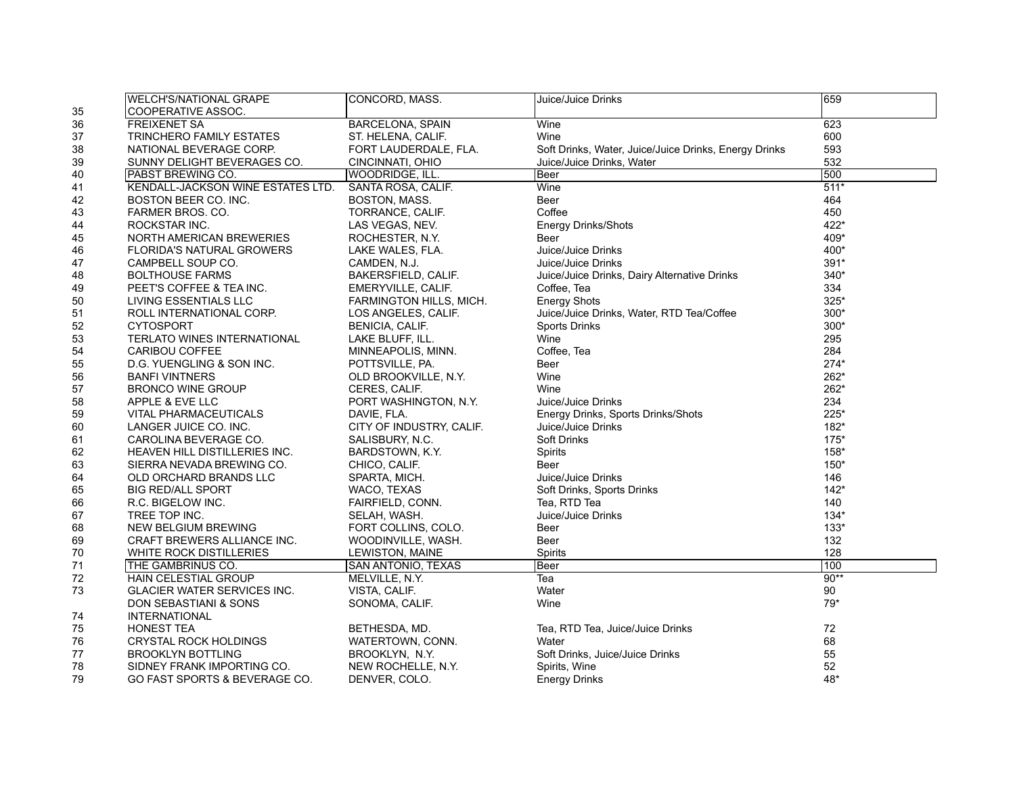| <b>WELCH'S/NATIONAL GRAPE</b>     | CONCORD, MASS.           | Juice/Juice Drinks                                    | 659    |
|-----------------------------------|--------------------------|-------------------------------------------------------|--------|
| COOPERATIVE ASSOC.                |                          |                                                       |        |
| <b>FREIXENET SA</b>               | <b>BARCELONA, SPAIN</b>  | Wine                                                  | 623    |
| TRINCHERO FAMILY ESTATES          | ST. HELENA, CALIF.       | Wine                                                  | 600    |
| NATIONAL BEVERAGE CORP.           | FORT LAUDERDALE, FLA.    | Soft Drinks, Water, Juice/Juice Drinks, Energy Drinks | 593    |
| SUNNY DELIGHT BEVERAGES CO.       | CINCINNATI, OHIO         | Juice/Juice Drinks, Water                             | 532    |
| <b>PABST BREWING CO.</b>          | <b>WOODRIDGE, ILL</b>    | Beer                                                  | 500    |
| KENDALL-JACKSON WINE ESTATES LTD. | SANTA ROSA, CALIF.       | Wine                                                  | $511*$ |
| BOSTON BEER CO. INC.              | BOSTON, MASS.            | Beer                                                  | 464    |
| FARMER BROS. CO.                  | TORRANCE, CALIF.         | Coffee                                                | 450    |
| ROCKSTAR INC.                     | LAS VEGAS, NEV.          | <b>Energy Drinks/Shots</b>                            | 422*   |
| NORTH AMERICAN BREWERIES          | ROCHESTER, N.Y.          | Beer                                                  | 409*   |
| <b>FLORIDA'S NATURAL GROWERS</b>  | LAKE WALES, FLA.         | Juice/Juice Drinks                                    | 400*   |
| CAMPBELL SOUP CO.                 | CAMDEN, N.J.             | Juice/Juice Drinks                                    | 391*   |
| <b>BOLTHOUSE FARMS</b>            | BAKERSFIELD, CALIF.      | Juice/Juice Drinks, Dairy Alternative Drinks          | 340*   |
| PEET'S COFFEE & TEA INC.          | EMERYVILLE, CALIF.       | Coffee, Tea                                           | 334    |
| LIVING ESSENTIALS LLC             | FARMINGTON HILLS, MICH.  | <b>Energy Shots</b>                                   | 325*   |
| ROLL INTERNATIONAL CORP.          | LOS ANGELES, CALIF.      | Juice/Juice Drinks, Water, RTD Tea/Coffee             | $300*$ |
| <b>CYTOSPORT</b>                  | BENICIA, CALIF.          | <b>Sports Drinks</b>                                  | $300*$ |
| TERLATO WINES INTERNATIONAL       | LAKE BLUFF, ILL.         | Wine                                                  | 295    |
| CARIBOU COFFEE                    | MINNEAPOLIS, MINN.       | Coffee, Tea                                           | 284    |
| D.G. YUENGLING & SON INC.         | POTTSVILLE, PA.          | Beer                                                  | $274*$ |
| <b>BANFI VINTNERS</b>             |                          | Wine                                                  | 262*   |
|                                   | OLD BROOKVILLE, N.Y.     |                                                       |        |
| <b>BRONCO WINE GROUP</b>          | CERES, CALIF.            | Wine                                                  | 262*   |
| APPLE & EVE LLC                   | PORT WASHINGTON, N.Y.    | Juice/Juice Drinks                                    | 234    |
| <b>VITAL PHARMACEUTICALS</b>      | DAVIE, FLA.              | Energy Drinks, Sports Drinks/Shots                    | $225*$ |
| LANGER JUICE CO. INC.             | CITY OF INDUSTRY, CALIF. | Juice/Juice Drinks                                    | $182*$ |
| CAROLINA BEVERAGE CO.             | SALISBURY, N.C.          | Soft Drinks                                           | $175*$ |
| HEAVEN HILL DISTILLERIES INC.     | BARDSTOWN, K.Y.          | Spirits                                               | 158*   |
| SIERRA NEVADA BREWING CO.         | CHICO, CALIF.            | Beer                                                  | 150*   |
| OLD ORCHARD BRANDS LLC            | SPARTA, MICH.            | Juice/Juice Drinks                                    | 146    |
| <b>BIG RED/ALL SPORT</b>          | WACO, TEXAS              | Soft Drinks, Sports Drinks                            | $142*$ |
| R.C. BIGELOW INC.                 | FAIRFIELD, CONN.         | Tea, RTD Tea                                          | 140    |
| TREE TOP INC.                     | SELAH, WASH.             | Juice/Juice Drinks                                    | $134*$ |
| <b>NEW BELGIUM BREWING</b>        | FORT COLLINS, COLO.      | Beer                                                  | $133*$ |
| CRAFT BREWERS ALLIANCE INC.       | WOODINVILLE, WASH.       | Beer                                                  | 132    |
| WHITE ROCK DISTILLERIES           | <b>LEWISTON, MAINE</b>   | Spirits                                               | 128    |
| THE GAMBRINUS CO.                 | SAN ANTONIO, TEXAS       | Beer                                                  | 100    |
| <b>HAIN CELESTIAL GROUP</b>       | MELVILLE, N.Y.           | Tea                                                   | $90**$ |
| GLACIER WATER SERVICES INC.       | VISTA, CALIF.            | Water                                                 | 90     |
| DON SEBASTIANI & SONS             | SONOMA, CALIF.           | Wine                                                  | 79*    |
| <b>INTERNATIONAL</b>              |                          |                                                       |        |
| <b>HONEST TEA</b>                 | BETHESDA, MD.            | Tea, RTD Tea, Juice/Juice Drinks                      | 72     |
| <b>CRYSTAL ROCK HOLDINGS</b>      | WATERTOWN, CONN.         | Water                                                 | 68     |
| <b>BROOKLYN BOTTLING</b>          | BROOKLYN, N.Y.           | Soft Drinks, Juice/Juice Drinks                       | 55     |
| SIDNEY FRANK IMPORTING CO.        | NEW ROCHELLE, N.Y.       | Spirits, Wine                                         | 52     |
| GO FAST SPORTS & BEVERAGE CO.     | DENVER, COLO.            | <b>Energy Drinks</b>                                  | 48*    |